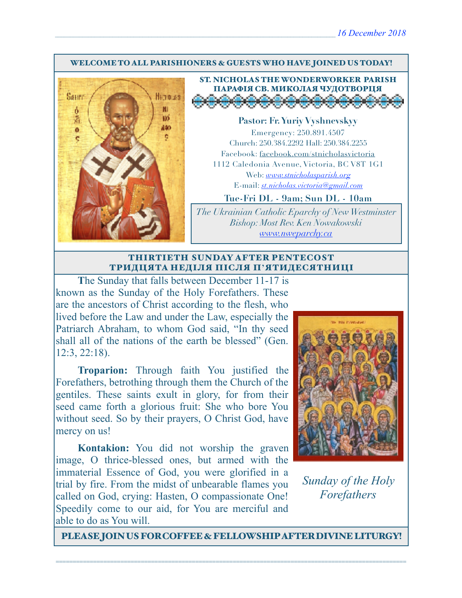#### WELCOME TO ALL PARISHIONERS & GUESTS WHO HAVE JOINED US TODAY!



ST. NICHOLAS THE WONDERWORKER PARISH ПАРАФІЯ СВ. МИКОЛАЯ ЧУДОТВОРЦЯ<br>Д<del>ООООООООООООО</del>

**Pastor: Fr. Yuriy Vyshnevskyy** Emergency: 250.891.4507 Church: 250.384.2292 Hall: 250.384.2255 Facebook: facebook.com/stnicholasvictoria 1112 Caledonia Avenue, Victoria, BC V8T 1G1 Web: *[www.stnicholasparish.org](http://www.stnicholasparish.org)* E-mail: *[st.nicholas.victoria@gmail.com](mailto:st.nicholas.victoria@gmail.com)*

**Tue-Fri DL - 9am; Sun DL - 10am**

*The Ukrainian Catholic Eparchy of New Westminster Bishop: Most Rev. Ken Nowakowski [www.nweparchy.ca](http://www.nweparchy.ca)*

#### THIRTIETH SUNDAY AFTER PENTECOST ТРИДЦЯТА НЕДІЛЯ ПІСЛЯ П**'**ЯТИДЕСЯТНИЦІ

The Sunday that falls between December 11-17 is known as the Sunday of the Holy Forefathers. These are the ancestors of Christ according to the flesh, who lived before the Law and under the Law, especially the Patriarch Abraham, to whom God said, "In thy seed shall all of the nations of the earth be blessed" (Gen. 12:3, 22:18).

**Troparion:** Through faith You justified the Forefathers, betrothing through them the Church of the gentiles. These saints exult in glory, for from their seed came forth a glorious fruit: She who bore You without seed. So by their prayers, O Christ God, have mercy on us!

**Kontakion:** You did not worship the graven image, O thrice-blessed ones, but armed with the immaterial Essence of God, you were glorified in a trial by fire. From the midst of unbearable flames you called on God, crying: Hasten, O compassionate One! Speedily come to our aid, for You are merciful and able to do as You will.



*Sunday of the Holy Forefathers*

PLEASE JOIN US FOR COFFEE & FELLOWSHIP AFTER DIVINE LITURGY!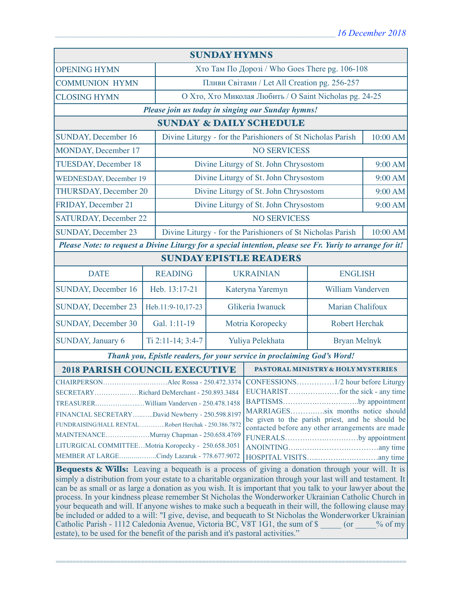| <b>SUNDAY HYMNS</b>                                                                                                                                                                                                                                                                                                                                                                                                                                                                                                                                                                                                                                                                                                                                                                                                                               |                   |                                                             |                                                                                                                                                                                              |                                    |          |
|---------------------------------------------------------------------------------------------------------------------------------------------------------------------------------------------------------------------------------------------------------------------------------------------------------------------------------------------------------------------------------------------------------------------------------------------------------------------------------------------------------------------------------------------------------------------------------------------------------------------------------------------------------------------------------------------------------------------------------------------------------------------------------------------------------------------------------------------------|-------------------|-------------------------------------------------------------|----------------------------------------------------------------------------------------------------------------------------------------------------------------------------------------------|------------------------------------|----------|
| <b>OPENING HYMN</b>                                                                                                                                                                                                                                                                                                                                                                                                                                                                                                                                                                                                                                                                                                                                                                                                                               |                   | Хто Там По Дорозі / Who Goes There pg. 106-108              |                                                                                                                                                                                              |                                    |          |
| <b>COMMUNION HYMN</b>                                                                                                                                                                                                                                                                                                                                                                                                                                                                                                                                                                                                                                                                                                                                                                                                                             |                   | Пливи Світами / Let All Creation pg. 256-257                |                                                                                                                                                                                              |                                    |          |
| <b>CLOSING HYMN</b>                                                                                                                                                                                                                                                                                                                                                                                                                                                                                                                                                                                                                                                                                                                                                                                                                               |                   |                                                             | О Хто, Хто Миколая Любить / О Saint Nicholas pg. 24-25                                                                                                                                       |                                    |          |
| Please join us today in singing our Sunday hymns!                                                                                                                                                                                                                                                                                                                                                                                                                                                                                                                                                                                                                                                                                                                                                                                                 |                   |                                                             |                                                                                                                                                                                              |                                    |          |
| <b>SUNDAY &amp; DAILY SCHEDULE</b>                                                                                                                                                                                                                                                                                                                                                                                                                                                                                                                                                                                                                                                                                                                                                                                                                |                   |                                                             |                                                                                                                                                                                              |                                    |          |
| <b>SUNDAY, December 16</b>                                                                                                                                                                                                                                                                                                                                                                                                                                                                                                                                                                                                                                                                                                                                                                                                                        |                   |                                                             | Divine Liturgy - for the Parishioners of St Nicholas Parish                                                                                                                                  |                                    | 10:00 AM |
| MONDAY, December 17                                                                                                                                                                                                                                                                                                                                                                                                                                                                                                                                                                                                                                                                                                                                                                                                                               |                   |                                                             | <b>NO SERVICESS</b>                                                                                                                                                                          |                                    |          |
| <b>TUESDAY, December 18</b>                                                                                                                                                                                                                                                                                                                                                                                                                                                                                                                                                                                                                                                                                                                                                                                                                       |                   | Divine Liturgy of St. John Chrysostom                       |                                                                                                                                                                                              |                                    | 9:00 AM  |
| <b>WEDNESDAY, December 19</b>                                                                                                                                                                                                                                                                                                                                                                                                                                                                                                                                                                                                                                                                                                                                                                                                                     |                   | Divine Liturgy of St. John Chrysostom                       |                                                                                                                                                                                              |                                    | 9:00 AM  |
| THURSDAY, December 20                                                                                                                                                                                                                                                                                                                                                                                                                                                                                                                                                                                                                                                                                                                                                                                                                             |                   | Divine Liturgy of St. John Chrysostom                       |                                                                                                                                                                                              |                                    | 9:00 AM  |
| <b>FRIDAY, December 21</b>                                                                                                                                                                                                                                                                                                                                                                                                                                                                                                                                                                                                                                                                                                                                                                                                                        |                   | Divine Liturgy of St. John Chrysostom                       |                                                                                                                                                                                              | 9:00 AM                            |          |
| <b>SATURDAY, December 22</b>                                                                                                                                                                                                                                                                                                                                                                                                                                                                                                                                                                                                                                                                                                                                                                                                                      |                   |                                                             | <b>NO SERVICESS</b>                                                                                                                                                                          |                                    |          |
| <b>SUNDAY, December 23</b>                                                                                                                                                                                                                                                                                                                                                                                                                                                                                                                                                                                                                                                                                                                                                                                                                        |                   | Divine Liturgy - for the Parishioners of St Nicholas Parish |                                                                                                                                                                                              |                                    | 10:00 AM |
| Please Note: to request a Divine Liturgy for a special intention, please see Fr. Yuriy to arrange for it!                                                                                                                                                                                                                                                                                                                                                                                                                                                                                                                                                                                                                                                                                                                                         |                   |                                                             |                                                                                                                                                                                              |                                    |          |
| <b>SUNDAY EPISTLE READERS</b>                                                                                                                                                                                                                                                                                                                                                                                                                                                                                                                                                                                                                                                                                                                                                                                                                     |                   |                                                             |                                                                                                                                                                                              |                                    |          |
| <b>DATE</b>                                                                                                                                                                                                                                                                                                                                                                                                                                                                                                                                                                                                                                                                                                                                                                                                                                       | <b>READING</b>    |                                                             | <b>UKRAINIAN</b>                                                                                                                                                                             | <b>ENGLISH</b>                     |          |
| <b>SUNDAY, December 16</b>                                                                                                                                                                                                                                                                                                                                                                                                                                                                                                                                                                                                                                                                                                                                                                                                                        | Heb. 13:17-21     | Kateryna Yaremyn                                            |                                                                                                                                                                                              | William Vanderven                  |          |
| <b>SUNDAY, December 23</b>                                                                                                                                                                                                                                                                                                                                                                                                                                                                                                                                                                                                                                                                                                                                                                                                                        | Heb.11:9-10,17-23 | Glikeria Iwanuck                                            |                                                                                                                                                                                              | Marian Chalifoux                   |          |
| <b>SUNDAY, December 30</b>                                                                                                                                                                                                                                                                                                                                                                                                                                                                                                                                                                                                                                                                                                                                                                                                                        | Gal. 1:11-19      |                                                             |                                                                                                                                                                                              | Robert Herchak<br>Motria Koropecky |          |
| SUNDAY, January 6                                                                                                                                                                                                                                                                                                                                                                                                                                                                                                                                                                                                                                                                                                                                                                                                                                 | Ti 2:11-14; 3:4-7 | Yuliya Pelekhata                                            |                                                                                                                                                                                              | <b>Bryan Melnyk</b>                |          |
| Thank you, Epistle readers, for your service in proclaiming God's Word!                                                                                                                                                                                                                                                                                                                                                                                                                                                                                                                                                                                                                                                                                                                                                                           |                   |                                                             |                                                                                                                                                                                              |                                    |          |
| <b>2018 PARISH COUNCIL EXECUTIVE</b>                                                                                                                                                                                                                                                                                                                                                                                                                                                                                                                                                                                                                                                                                                                                                                                                              |                   |                                                             | <b>PASTORAL MINISTRY &amp; HOLY MYSTERIES</b>                                                                                                                                                |                                    |          |
| SECRETARYRichard DeMerchant - 250.893.3484<br>TREASURERWilliam Vanderven - 250.478.1458<br>FINANCIAL SECRETARYDavid Newberry - 250.598.8197<br>FUNDRAISING/HALL RENTALRobert Herchak - 250.386.7872<br>MAINTENANCEMurray Chapman - 250.658.4769<br>LITURGICAL COMMITTEEMotria Koropecky - 250.658.3051                                                                                                                                                                                                                                                                                                                                                                                                                                                                                                                                            |                   |                                                             | BAPTISMSby appointment<br>MARRIAGESsix months notice should<br>be given to the parish priest, and he should be<br>contacted before any other arrangements are made<br>FUNERALSby appointment |                                    |          |
| MEMBER AT LARGECindy Lazaruk - 778.677.9072                                                                                                                                                                                                                                                                                                                                                                                                                                                                                                                                                                                                                                                                                                                                                                                                       |                   |                                                             |                                                                                                                                                                                              |                                    |          |
| Bequests & Wills: Leaving a bequeath is a process of giving a donation through your will. It is<br>simply a distribution from your estate to a charitable organization through your last will and testament. It<br>can be as small or as large a donation as you wish. It is important that you talk to your lawyer about the<br>process. In your kindness please remember St Nicholas the Wonderworker Ukrainian Catholic Church in<br>your bequeath and will. If anyone wishes to make such a bequeath in their will, the following clause may<br>be included or added to a will: "I give, devise, and bequeath to St Nicholas the Wonderworker Ukrainian<br>Catholic Parish - 1112 Caledonia Avenue, Victoria BC, V8T 1G1, the sum of \$ (or<br>$\%$ of my<br>estate), to be used for the benefit of the parish and it's pastoral activities." |                   |                                                             |                                                                                                                                                                                              |                                    |          |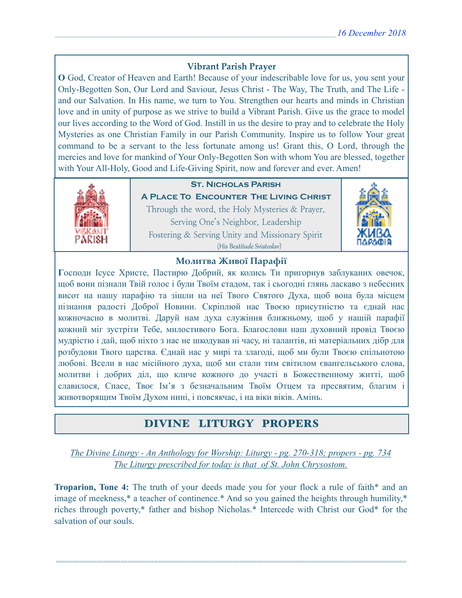### **Vibrant Parish Prayer**

**O** God, Creator of Heaven and Earth! Because of your indescribable love for us, you sent your Only-Begotten Son, Our Lord and Saviour, Jesus Christ - The Way, The Truth, and The Life and our Salvation. In His name, we turn to You. Strengthen our hearts and minds in Christian love and in unity of purpose as we strive to build a Vibrant Parish. Give us the grace to model our lives according to the Word of God. Instill in us the desire to pray and to celebrate the Holy Mysteries as one Christian Family in our Parish Community. Inspire us to follow Your great command to be a servant to the less fortunate among us! Grant this, O Lord, through the mercies and love for mankind of Your Only-Begotten Son with whom You are blessed, together with Your All-Holy, Good and Life-Giving Spirit, now and forever and ever. Amen!



## **St. Nicholas Parish**

**A Place To Encounter The Living Christ** Through the word, the Holy Mysteries & Prayer, Serving One's Neighbor, Leadership Fostering & Serving Unity and Missionary Spirit (His Beatitude Sviatoslav)



### **Молитва Живої Парафії**

**Г**осподи Ісусе Христе, Пастирю Добрий, як колись Ти пригорнув заблуканих овечок, щоб вони пізнали Твій голос і були Твоїм стадом, так і сьогодні глянь ласкаво з небесних висот на нашу парафію та зішли на неї Твого Святого Духа, щоб вона була місцем пізнання радості Доброї Новини. Скріплюй нас Твоєю присутністю та єднай нас кожночасно в молитві. Даруй нам духа служіння ближньому, щоб у нашій парафії кожний міг зустріти Тебе, милостивого Бога. Благослови наш духовний провід Твоєю мудрістю і дай, щоб ніхто з нас не шкодував ні часу, ні талантів, ні матеріальних дібр для розбудови Твого царства. Єднай нас у мирі та злагоді, щоб ми були Твоєю спільнотою любові. Всели в нас місійного духа, щоб ми стали тим світилом євангельського слова, молитви і добрих діл, що кличе кожного до участі в Божественному житті, щоб славилося, Спасе, Твоє Ім'я з безначальним Твоїм Отцем та пресвятим, благим і животворящим Твоїм Духом нині, і повсякчас, і на віки віків. Амінь.

# DIVINE LITURGY PROPERS

*The Divine Liturgy - An Anthology for Worship: Liturgy - pg. 270-318; propers - pg. 734 The Liturgy prescribed for today is that of St. John Chrysostom.* 

**Troparion, Tone 4:** The truth of your deeds made you for your flock a rule of faith\* and an image of meekness,\* a teacher of continence.\* And so you gained the heights through humility,\* riches through poverty,\* father and bishop Nicholas.\* Intercede with Christ our God\* for the salvation of our souls.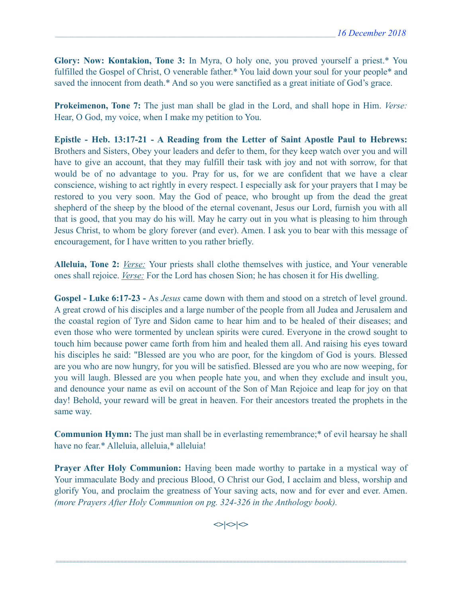**Glory: Now: Kontakion, Tone 3:** In Myra, O holy one, you proved yourself a priest.\* You fulfilled the Gospel of Christ, O venerable father.\* You laid down your soul for your people\* and saved the innocent from death.\* And so you were sanctified as a great initiate of God's grace.

**Prokeimenon, Tone 7:** The just man shall be glad in the Lord, and shall hope in Him. *Verse:*  Hear, O God, my voice, when I make my petition to You.

**Epistle - Heb. 13:17-21 - A Reading from the Letter of Saint Apostle Paul to Hebrews:**  Brothers and Sisters, Obey your leaders and defer to them, for they keep watch over you and will have to give an account, that they may fulfill their task with joy and not with sorrow, for that would be of no advantage to you. Pray for us, for we are confident that we have a clear conscience, wishing to act rightly in every respect. I especially ask for your prayers that I may be restored to you very soon. May the God of peace, who brought up from the dead the great shepherd of the sheep by the blood of the eternal covenant, Jesus our Lord, furnish you with all that is good, that you may do his will. May he carry out in you what is pleasing to him through Jesus Christ, to whom be glory forever (and ever). Amen. I ask you to bear with this message of encouragement, for I have written to you rather briefly.

**Alleluia, Tone 2:** *Verse:* Your priests shall clothe themselves with justice, and Your venerable ones shall rejoice. *Verse:* For the Lord has chosen Sion; he has chosen it for His dwelling.

**Gospel - Luke 6:17-23 -** As *Jesus* came down with them and stood on a stretch of level ground. A great crowd of his disciples and a large number of the people from all Judea and Jerusalem and the coastal region of Tyre and Sidon came to hear him and to be healed of their diseases; and even those who were tormented by unclean spirits were cured. Everyone in the crowd sought to touch him because power came forth from him and healed them all. And raising his eyes toward his disciples he said: "Blessed are you who are poor, for the kingdom of God is yours. Blessed are you who are now hungry, for you will be satisfied. Blessed are you who are now weeping, for you will laugh. Blessed are you when people hate you, and when they exclude and insult you, and denounce your name as evil on account of the Son of Man Rejoice and leap for joy on that day! Behold, your reward will be great in heaven. For their ancestors treated the prophets in the same way.

**Communion Hymn:** The just man shall be in everlasting remembrance;\* of evil hearsay he shall have no fear.\* Alleluia, alleluia,\* alleluia!

**Prayer After Holy Communion:** Having been made worthy to partake in a mystical way of Your immaculate Body and precious Blood, O Christ our God, I acclaim and bless, worship and glorify You, and proclaim the greatness of Your saving acts, now and for ever and ever. Amen. *(more Prayers After Holy Communion on pg. 324-326 in the Anthology book).* 

 $\left| \diamond \right| \diamond \left| \diamond \right|$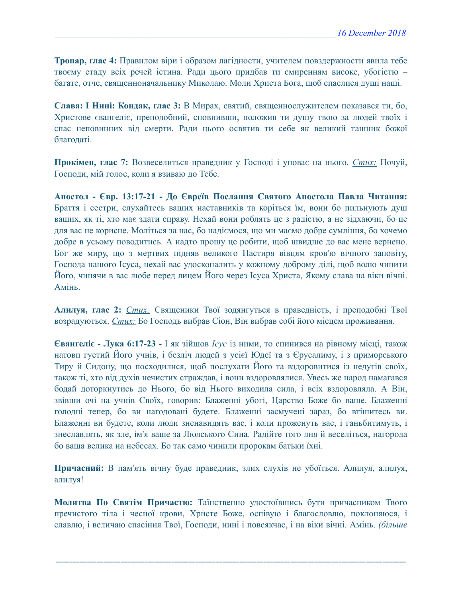**Тропар, глас 4:** Правилом віри і образом лагідности, учителем повздержности явила тебе твоєму стаду всіх речей істина. Ради цього придбав ти смиренням високе, убогістю – багате, отче, священноначальнику Миколаю. Моли Христа Бога, щоб спаслися душі наші.

**Слава: І Нині: Кондак, глас 3:** В Мирах, святий, священнослужителем показався ти, бо, Христове євангеліє, преподобний, сповнивши, положив ти душу твою за людей твоїх і спас неповинних від смерти. Ради цього освятив ти себе як великий ташник божої благодаті.

**Прокімен, глас 7:** Возвеселиться праведник у Господі і уповає на нього. *Стих:* Почуй, Господи, мій голос, коли я взиваю до Тебе.

**Апостол - Євр. 13:17-21 - До Євреїв Послання Святого Апостола Павла Читання:**  Браття і сестри, слухайтесь ваших наставників та коріться їм, вони бо пильнують душ ваших, як ті, хто має здати справу. Нехай вони роблять це з радістю, а не зідхаючи, бо це для вас не корисне. Моліться за нас, бо надіємося, що ми маємо добре сумління, бо хочемо добре в усьому поводитись. А надто прошу це робити, щоб швидше до вас мене вернено. Бог же миру, що з мертвих підняв великого Пастиря вівцям кров'ю вічного заповіту, Господа нашого Ісуса, нехай вас удосконалить у кожному доброму ділі, щоб волю чинити Його, чинячи в вас любе перед лицем Його через Ісуса Христа, Якому слава на віки вічні. Амінь.

**Алилуя, глас 2:** *Cтих:* Священики Твої зодянгуться в праведність, і преподобні Твої возрадуються. *Cтих:* Бо Господь вибрав Сіон, Він вибрав собі його місцем проживання.

**Євангеліє - Лука 6:17-23 -** І як зійшов *Ісус* із ними, то спинився на рівному місці, також натовп густий Його учнів, і безліч людей з усієї Юдеї та з Єрусалиму, і з приморського Тиру й Сидону, що посходилися, щоб послухати Його та вздоровитися із недугів своїх, також ті, хто від духів нечистих страждав, і вони вздоровлялися. Увесь же народ намагався бодай доторкнутись до Нього, бо від Нього виходила сила, і всіх вздоровляла. А Він, звівши очі на учнів Своїх, говорив: Блаженні убогі, Царство Боже бо ваше. Блаженні голодні тепер, бо ви нагодовані будете. Блаженні засмучені зараз, бо втішитесь ви. Блаженні ви будете, коли люди зненавидять вас, і коли проженуть вас, і ганьбитимуть, і знеславлять, як зле, ім'я ваше за Людського Сина. Радійте того дня й веселіться, нагорода бо ваша велика на небесах. Бо так само чинили пророкам батьки їхні.

**Причасний:** В пам'ять вічну буде праведник, злих слухів не убоїться. Алилуя, алилуя, алилуя!

**Молитва По Святім Причастю:** Таїнственно удостоївшись бути причасником Твого пречистого тіла і чесної крови, Христе Боже, оспівую і благословлю, поклоняюся, і славлю, і величаю спасіння Твої, Господи, нині і повсякчас, і на віки вічні. Амінь. *(більше*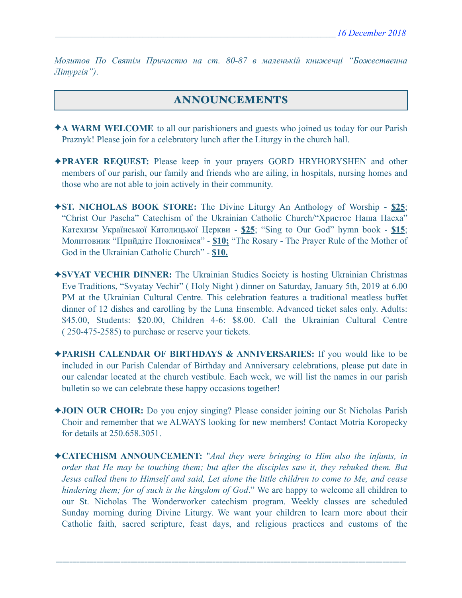*Молитов По Святім Причастю на ст. 80-87 в маленькій книжечці "Божественна Літургія")*.

## ANNOUNCEMENTS

- ✦**A WARM WELCOME** to all our parishioners and guests who joined us today for our Parish Praznyk! Please join for a celebratory lunch after the Liturgy in the church hall.
- ✦**PRAYER REQUEST:** Please keep in your prayers GORD HRYHORYSHEN and other members of our parish, our family and friends who are ailing, in hospitals, nursing homes and those who are not able to join actively in their community.
- ✦**ST. NICHOLAS BOOK STORE:** The Divine Liturgy An Anthology of Worship **\$25**; "Christ Our Pascha" Catechism of the Ukrainian Catholic Church/"Христос Наша Пасха" Катехизм Української Католицької Церкви - **\$25**; "Sing to Our God" hymn book - **\$15**; Молитовник "Прийдіте Поклонімся" - **\$10;** "The Rosary - The Prayer Rule of the Mother of God in the Ukrainian Catholic Church" - **\$10.**
- ✦**SVYAT VECHIR DINNER:** The Ukrainian Studies Society is hosting Ukrainian Christmas Eve Traditions, "Svyatay Vechir" ( Holy Night ) dinner on Saturday, January 5th, 2019 at 6.00 PM at the Ukrainian Cultural Centre. This celebration features a traditional meatless buffet dinner of 12 dishes and carolling by the Luna Ensemble. Advanced ticket sales only. Adults: \$45.00, Students: \$20.00, Children 4-6: \$8.00. Call the Ukrainian Cultural Centre ( 250-475-2585) to purchase or reserve your tickets.
- ✦**PARISH CALENDAR OF BIRTHDAYS & ANNIVERSARIES:** If you would like to be included in our Parish Calendar of Birthday and Anniversary celebrations, please put date in our calendar located at the church vestibule. Each week, we will list the names in our parish bulletin so we can celebrate these happy occasions together!
- ✦**JOIN OUR CHOIR:** Do you enjoy singing? Please consider joining our St Nicholas Parish Choir and remember that we ALWAYS looking for new members! Contact Motria Koropecky for details at 250.658.3051.
- ✦**CATECHISM ANNOUNCEMENT:** "*And they were bringing to Him also the infants, in order that He may be touching them; but after the disciples saw it, they rebuked them. But Jesus called them to Himself and said, Let alone the little children to come to Me, and cease hindering them; for of such is the kingdom of God*." We are happy to welcome all children to our St. Nicholas The Wonderworker catechism program. Weekly classes are scheduled Sunday morning during Divine Liturgy. We want your children to learn more about their Catholic faith, sacred scripture, feast days, and religious practices and customs of the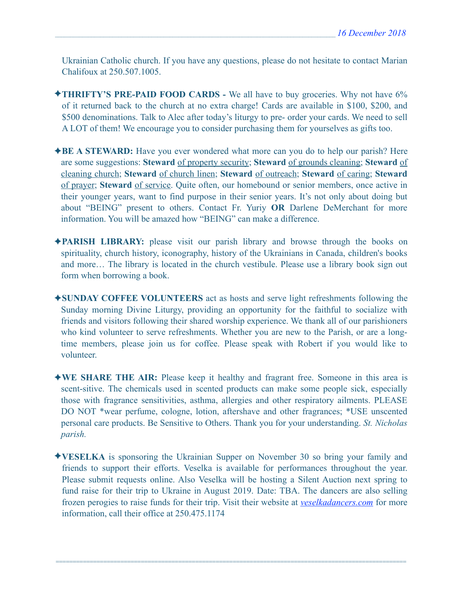Ukrainian Catholic church. If you have any questions, please do not hesitate to contact Marian Chalifoux at 250.507.1005.

- ✦**THRIFTY'S PRE-PAID FOOD CARDS** We all have to buy groceries. Why not have 6% of it returned back to the church at no extra charge! Cards are available in \$100, \$200, and \$500 denominations. Talk to Alec after today's liturgy to pre- order your cards. We need to sell A LOT of them! We encourage you to consider purchasing them for yourselves as gifts too.
- ✦**BE A STEWARD:** Have you ever wondered what more can you do to help our parish? Here are some suggestions: **Steward** of property security; **Steward** of grounds cleaning; **Steward** of cleaning church; **Steward** of church linen; **Steward** of outreach; **Steward** of caring; **Steward** of prayer; **Steward** of service. Quite often, our homebound or senior members, once active in their younger years, want to find purpose in their senior years. It's not only about doing but about "BEING" present to others. Contact Fr. Yuriy **OR** Darlene DeMerchant for more information. You will be amazed how "BEING" can make a difference.
- ✦**PARISH LIBRARY:** please visit our parish library and browse through the books on spirituality, church history, iconography, history of the Ukrainians in Canada, children's books and more… The library is located in the church vestibule. Please use a library book sign out form when borrowing a book.
- ✦**SUNDAY COFFEE VOLUNTEERS** act as hosts and serve light refreshments following the Sunday morning Divine Liturgy, providing an opportunity for the faithful to socialize with friends and visitors following their shared worship experience. We thank all of our parishioners who kind volunteer to serve refreshments. Whether you are new to the Parish, or are a longtime members, please join us for coffee. Please speak with Robert if you would like to volunteer.
- ✦**WE SHARE THE AIR:** Please keep it healthy and fragrant free. Someone in this area is scent-sitive. The chemicals used in scented products can make some people sick, especially those with fragrance sensitivities, asthma, allergies and other respiratory ailments. PLEASE DO NOT \*wear perfume, cologne, lotion, aftershave and other fragrances; \*USE unscented personal care products. Be Sensitive to Others. Thank you for your understanding. *St. Nicholas parish.*
- ✦**VESELKA** is sponsoring the Ukrainian Supper on November 30 so bring your family and friends to support their efforts. Veselka is available for performances throughout the year. Please submit requests online. Also Veselka will be hosting a Silent Auction next spring to fund raise for their trip to Ukraine in August 2019. Date: TBA. The dancers are also selling frozen perogies to raise funds for their trip. Visit their website at *[veselkadancers.com](http://veselkadancers.com)* for more information, call their office at 250.475.1174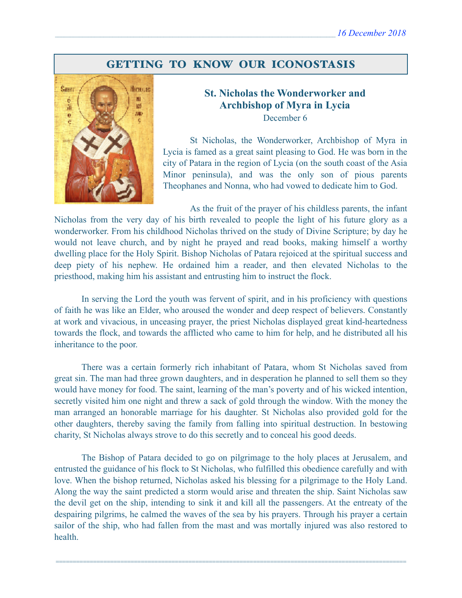# GETTING TO KNOW OUR ICONOSTASIS



## **St. Nicholas the Wonderworker and Archbishop of Myra in Lycia**  December 6

 St Nicholas, the Wonderworker, Archbishop of Myra in Lycia is famed as a great saint pleasing to God. He was born in the city of Patara in the region of Lycia (on the south coast of the Asia Minor peninsula), and was the only son of pious parents Theophanes and Nonna, who had vowed to dedicate him to God.

As the fruit of the prayer of his childless parents, the infant Nicholas from the very day of his birth revealed to people the light of his future glory as a wonderworker. From his childhood Nicholas thrived on the study of Divine Scripture; by day he would not leave church, and by night he prayed and read books, making himself a worthy dwelling place for the Holy Spirit. Bishop Nicholas of Patara rejoiced at the spiritual success and deep piety of his nephew. He ordained him a reader, and then elevated Nicholas to the priesthood, making him his assistant and entrusting him to instruct the flock.

In serving the Lord the youth was fervent of spirit, and in his proficiency with questions of faith he was like an Elder, who aroused the wonder and deep respect of believers. Constantly at work and vivacious, in unceasing prayer, the priest Nicholas displayed great kind-heartedness towards the flock, and towards the afflicted who came to him for help, and he distributed all his inheritance to the poor.

There was a certain formerly rich inhabitant of Patara, whom St Nicholas saved from great sin. The man had three grown daughters, and in desperation he planned to sell them so they would have money for food. The saint, learning of the man's poverty and of his wicked intention, secretly visited him one night and threw a sack of gold through the window. With the money the man arranged an honorable marriage for his daughter. St Nicholas also provided gold for the other daughters, thereby saving the family from falling into spiritual destruction. In bestowing charity, St Nicholas always strove to do this secretly and to conceal his good deeds.

The Bishop of Patara decided to go on pilgrimage to the holy places at Jerusalem, and entrusted the guidance of his flock to St Nicholas, who fulfilled this obedience carefully and with love. When the bishop returned, Nicholas asked his blessing for a pilgrimage to the Holy Land. Along the way the saint predicted a storm would arise and threaten the ship. Saint Nicholas saw the devil get on the ship, intending to sink it and kill all the passengers. At the entreaty of the despairing pilgrims, he calmed the waves of the sea by his prayers. Through his prayer a certain sailor of the ship, who had fallen from the mast and was mortally injured was also restored to health.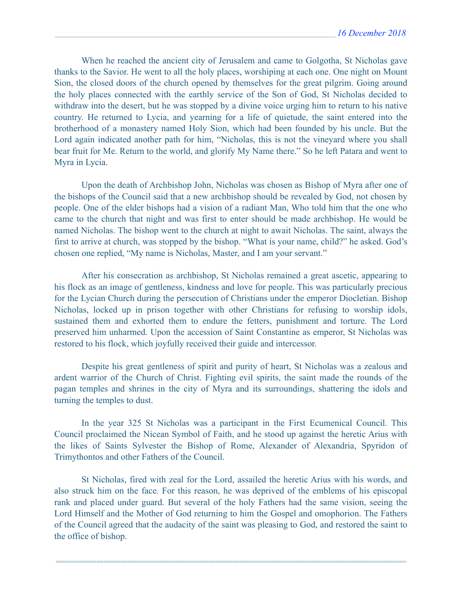When he reached the ancient city of Jerusalem and came to Golgotha, St Nicholas gave thanks to the Savior. He went to all the holy places, worshiping at each one. One night on Mount Sion, the closed doors of the church opened by themselves for the great pilgrim. Going around the holy places connected with the earthly service of the Son of God, St Nicholas decided to withdraw into the desert, but he was stopped by a divine voice urging him to return to his native country. He returned to Lycia, and yearning for a life of quietude, the saint entered into the brotherhood of a monastery named Holy Sion, which had been founded by his uncle. But the Lord again indicated another path for him, "Nicholas, this is not the vineyard where you shall bear fruit for Me. Return to the world, and glorify My Name there." So he left Patara and went to Myra in Lycia.

Upon the death of Archbishop John, Nicholas was chosen as Bishop of Myra after one of the bishops of the Council said that a new archbishop should be revealed by God, not chosen by people. One of the elder bishops had a vision of a radiant Man, Who told him that the one who came to the church that night and was first to enter should be made archbishop. He would be named Nicholas. The bishop went to the church at night to await Nicholas. The saint, always the first to arrive at church, was stopped by the bishop. "What is your name, child?" he asked. God's chosen one replied, "My name is Nicholas, Master, and I am your servant."

After his consecration as archbishop, St Nicholas remained a great ascetic, appearing to his flock as an image of gentleness, kindness and love for people. This was particularly precious for the Lycian Church during the persecution of Christians under the emperor Diocletian. Bishop Nicholas, locked up in prison together with other Christians for refusing to worship idols, sustained them and exhorted them to endure the fetters, punishment and torture. The Lord preserved him unharmed. Upon the accession of Saint Constantine as emperor, St Nicholas was restored to his flock, which joyfully received their guide and intercessor.

Despite his great gentleness of spirit and purity of heart, St Nicholas was a zealous and ardent warrior of the Church of Christ. Fighting evil spirits, the saint made the rounds of the pagan temples and shrines in the city of Myra and its surroundings, shattering the idols and turning the temples to dust.

In the year 325 St Nicholas was a participant in the First Ecumenical Council. This Council proclaimed the Nicean Symbol of Faith, and he stood up against the heretic Arius with the likes of Saints Sylvester the Bishop of Rome, Alexander of Alexandria, Spyridon of Trimythontos and other Fathers of the Council.

St Nicholas, fired with zeal for the Lord, assailed the heretic Arius with his words, and also struck him on the face. For this reason, he was deprived of the emblems of his episcopal rank and placed under guard. But several of the holy Fathers had the same vision, seeing the Lord Himself and the Mother of God returning to him the Gospel and omophorion. The Fathers of the Council agreed that the audacity of the saint was pleasing to God, and restored the saint to the office of bishop.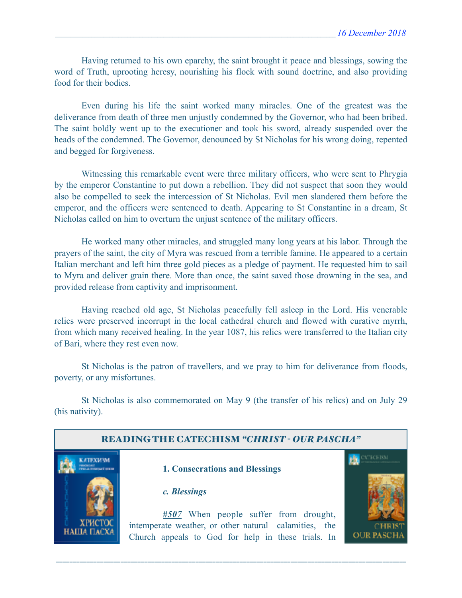Having returned to his own eparchy, the saint brought it peace and blessings, sowing the word of Truth, uprooting heresy, nourishing his flock with sound doctrine, and also providing food for their bodies.

Even during his life the saint worked many miracles. One of the greatest was the deliverance from death of three men unjustly condemned by the Governor, who had been bribed. The saint boldly went up to the executioner and took his sword, already suspended over the heads of the condemned. The Governor, denounced by St Nicholas for his wrong doing, repented and begged for forgiveness.

Witnessing this remarkable event were three military officers, who were sent to Phrygia by the emperor Constantine to put down a rebellion. They did not suspect that soon they would also be compelled to seek the intercession of St Nicholas. Evil men slandered them before the emperor, and the officers were sentenced to death. Appearing to St Constantine in a dream, St Nicholas called on him to overturn the unjust sentence of the military officers.

He worked many other miracles, and struggled many long years at his labor. Through the prayers of the saint, the city of Myra was rescued from a terrible famine. He appeared to a certain Italian merchant and left him three gold pieces as a pledge of payment. He requested him to sail to Myra and deliver grain there. More than once, the saint saved those drowning in the sea, and provided release from captivity and imprisonment.

Having reached old age, St Nicholas peacefully fell asleep in the Lord. His venerable relics were preserved incorrupt in the local cathedral church and flowed with curative myrrh, from which many received healing. In the year 1087, his relics were transferred to the Italian city of Bari, where they rest even now.

St Nicholas is the patron of travellers, and we pray to him for deliverance from floods, poverty, or any misfortunes.

St Nicholas is also commemorated on May 9 (the transfer of his relics) and on July 29 (his nativity).

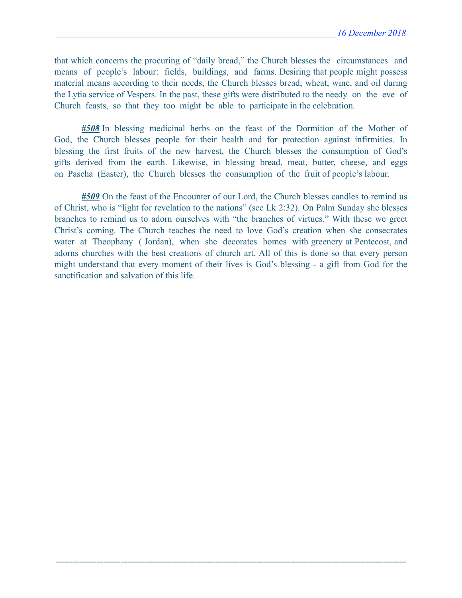that which concerns the procuring of "daily bread," the Church blesses the circumstances and means of people's labour: fields, buildings, and farms. Desiring that people might possess material means according to their needs, the Church blesses bread, wheat, wine, and oil during the Lytia service of Vespers. In the past, these gifts were distributed to the needy on the eve of Church feasts, so that they too might be able to participate in the celebration.

*#508* In blessing medicinal herbs on the feast of the Dormition of the Mother of God, the Church blesses people for their health and for protection against infirmities. In blessing the first fruits of the new harvest, the Church blesses the consumption of God's gifts derived from the earth. Likewise, in blessing bread, meat, butter, cheese, and eggs on Pascha (Easter), the Church blesses the consumption of the fruit of people's labour.

*#509* On the feast of the Encounter of our Lord, the Church blesses candles to remind us of Christ, who is "light for revelation to the nations" (see Lk 2:32). On Palm Sunday she blesses branches to remind us to adorn ourselves with "the branches of virtues." With these we greet Christ's coming. The Church teaches the need to love God's creation when she consecrates water at Theophany ( Jordan), when she decorates homes with greenery at Pentecost, and adorns churches with the best creations of church art. All of this is done so that every person might understand that every moment of their lives is God's blessing - a gift from God for the sanctification and salvation of this life.